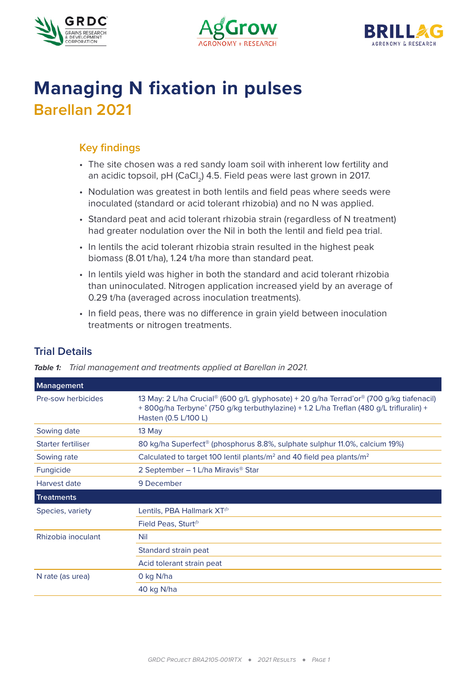





# **Managing N fixation in pulses Barellan 2021**

## **Key findings**

- The site chosen was a red sandy loam soil with inherent low fertility and an acidic topsoil, pH (CaCl<sub>2</sub>) 4.5. Field peas were last grown in 2017.
- Nodulation was greatest in both lentils and field peas where seeds were inoculated (standard or acid tolerant rhizobia) and no N was applied.
- Standard peat and acid tolerant rhizobia strain (regardless of N treatment) had greater nodulation over the Nil in both the lentil and field pea trial.
- In lentils the acid tolerant rhizobia strain resulted in the highest peak biomass (8.01 t/ha), 1.24 t/ha more than standard peat.
- In lentils yield was higher in both the standard and acid tolerant rhizobia than uninoculated. Nitrogen application increased yield by an average of 0.29 t/ha (averaged across inoculation treatments).
- In field peas, there was no difference in grain yield between inoculation treatments or nitrogen treatments.

| <b>Management</b>  |                                                                                                                                                                                                            |  |  |
|--------------------|------------------------------------------------------------------------------------------------------------------------------------------------------------------------------------------------------------|--|--|
| Pre-sow herbicides | 13 May: 2 L/ha Crucial® (600 g/L glyphosate) + 20 g/ha Terrad'or® (700 g/kg tiafenacil)<br>+ 800g/ha Terbyne® (750 g/kg terbuthylazine) + 1.2 L/ha Treflan (480 g/L trifluralin) +<br>Hasten (0.5 L/100 L) |  |  |
| Sowing date        | 13 May                                                                                                                                                                                                     |  |  |
| Starter fertiliser | 80 kg/ha Superfect® (phosphorus 8.8%, sulphate sulphur 11.0%, calcium 19%)                                                                                                                                 |  |  |
| Sowing rate        | Calculated to target 100 lentil plants/m <sup>2</sup> and 40 field pea plants/m <sup>2</sup>                                                                                                               |  |  |
| <b>Fungicide</b>   | 2 September - 1 L/ha Miravis <sup>®</sup> Star                                                                                                                                                             |  |  |
| Harvest date       | 9 December                                                                                                                                                                                                 |  |  |
| <b>Treatments</b>  |                                                                                                                                                                                                            |  |  |
| Species, variety   | Lentils, PBA Hallmark $XT^{\varnothing}$                                                                                                                                                                   |  |  |
|                    | Field Peas, Sturt $\Phi$                                                                                                                                                                                   |  |  |
| Rhizobia inoculant | Nil                                                                                                                                                                                                        |  |  |
|                    | Standard strain peat                                                                                                                                                                                       |  |  |
|                    | Acid tolerant strain peat                                                                                                                                                                                  |  |  |
| N rate (as urea)   | 0 kg N/ha                                                                                                                                                                                                  |  |  |
|                    | 40 kg N/ha                                                                                                                                                                                                 |  |  |
|                    |                                                                                                                                                                                                            |  |  |

# **Trial Details**

*Table 1: Trial management and treatments applied at Barellan in 2021.*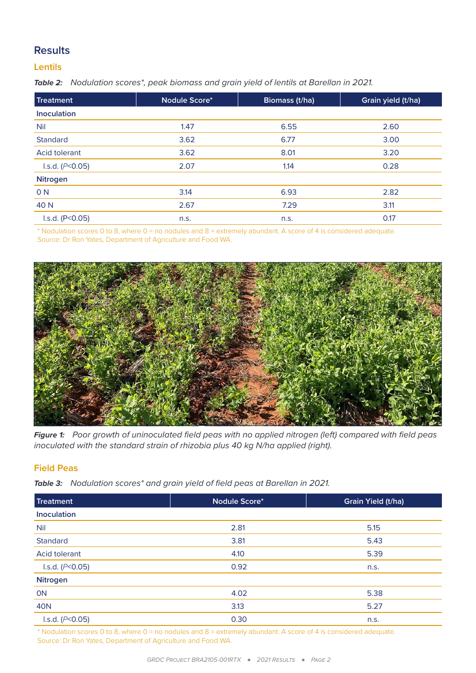## **Results**

#### **Lentils**

*Table 2: Nodulation scores\*, peak biomass and grain yield of lentils at Barellan in 2021.*

| <b>Treatment</b>   | Nodule Score* | Biomass (t/ha) | Grain yield (t/ha) |
|--------------------|---------------|----------------|--------------------|
| <b>Inoculation</b> |               |                |                    |
| <b>Nil</b>         | 1.47          | 6.55           | 2.60               |
| <b>Standard</b>    | 3.62          | 6.77           | 3.00               |
| Acid tolerant      | 3.62          | 8.01           | 3.20               |
| I.s.d. $(P<0.05)$  | 2.07          | 1.14           | 0.28               |
| Nitrogen           |               |                |                    |
| 0 N                | 3.14          | 6.93           | 2.82               |
| 40 N               | 2.67          | 7.29           | 3.11               |
| I.s.d. (P < 0.05)  | n.s.          | n.s.           | 0.17               |
|                    |               |                |                    |

\* Nodulation scores 0 to 8, where 0 = no nodules and 8 = extremely abundant. A score of 4 is considered adequate. Source: Dr Ron Yates, Department of Agriculture and Food WA.



*Figure 1: Poor growth of uninoculated field peas with no applied nitrogen (left) compared with field peas inoculated with the standard strain of rhizobia plus 40 kg N/ha applied (right).*

#### **Field Peas**

*Table 3: Nodulation scores\* and grain yield of field peas at Barellan in 2021.*

| <b>Treatment</b>  | Nodule Score* | Grain Yield (t/ha) |
|-------------------|---------------|--------------------|
| Inoculation       |               |                    |
| <b>Nil</b>        | 2.81          | 5.15               |
| <b>Standard</b>   | 3.81          | 5.43               |
| Acid tolerant     | 4.10          | 5.39               |
| I.s.d. $(P<0.05)$ | 0.92          | n.s.               |
| <b>Nitrogen</b>   |               |                    |
| <b>ON</b>         | 4.02          | 5.38               |
| <b>40N</b>        | 3.13          | 5.27               |
| I.s.d. $(P<0.05)$ | 0.30          | n.s.               |

\* Nodulation scores 0 to 8, where 0 = no nodules and 8 = extremely abundant. A score of 4 is considered adequate. Source: Dr Ron Yates, Department of Agriculture and Food WA.